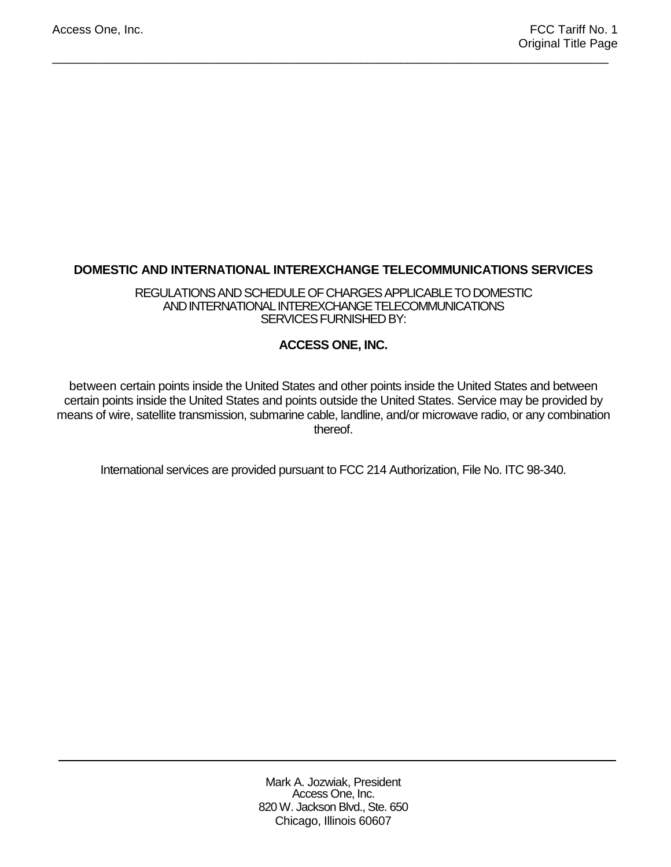### **DOMESTIC AND INTERNATIONAL INTEREXCHANGE TELECOMMUNICATIONS SERVICES**

\_\_\_\_\_\_\_\_\_\_\_\_\_\_\_\_\_\_\_\_\_\_\_\_\_\_\_\_\_\_\_\_\_\_\_\_\_\_\_\_\_\_\_\_\_\_\_\_\_\_\_\_\_\_\_\_\_\_\_\_\_\_\_\_\_\_\_\_\_\_\_\_\_\_\_\_\_\_\_\_\_\_\_

REGULATIONS AND SCHEDULE OF CHARGES APPLICABLE TO DOMESTIC AND INTERNATIONAL INTEREXCHANGE TELECOMMUNICATIONS SERVICES FURNISHED BY:

### **ACCESS ONE, INC.**

between certain points inside the United States and other points inside the United States and between certain points inside the United States and points outside the United States. Service may be provided by means of wire, satellite transmission, submarine cable, landline, and/or microwave radio, or any combination thereof.

International services are provided pursuant to FCC 214 Authorization, File No. ITC 98-340.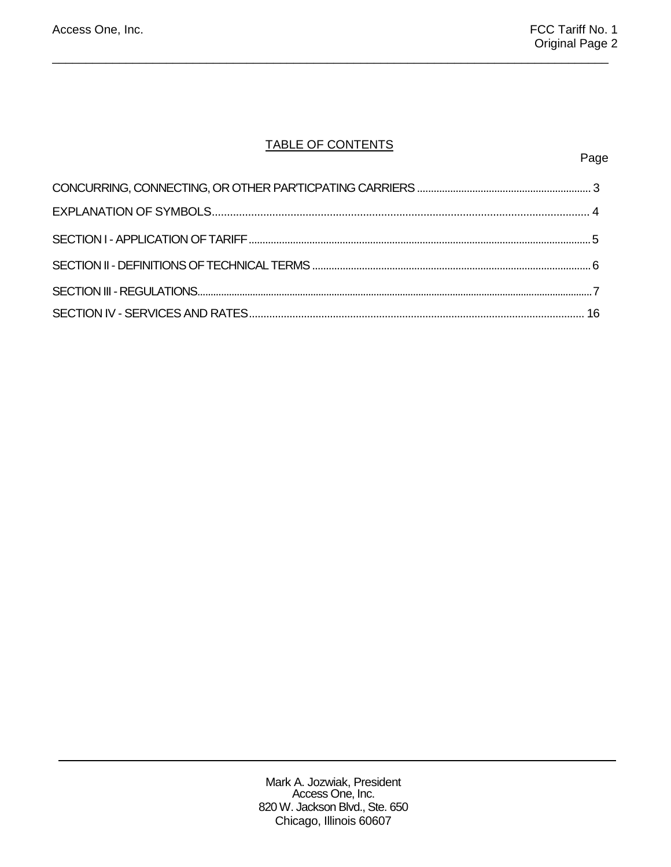## **TABLE OF CONTENTS**

# Page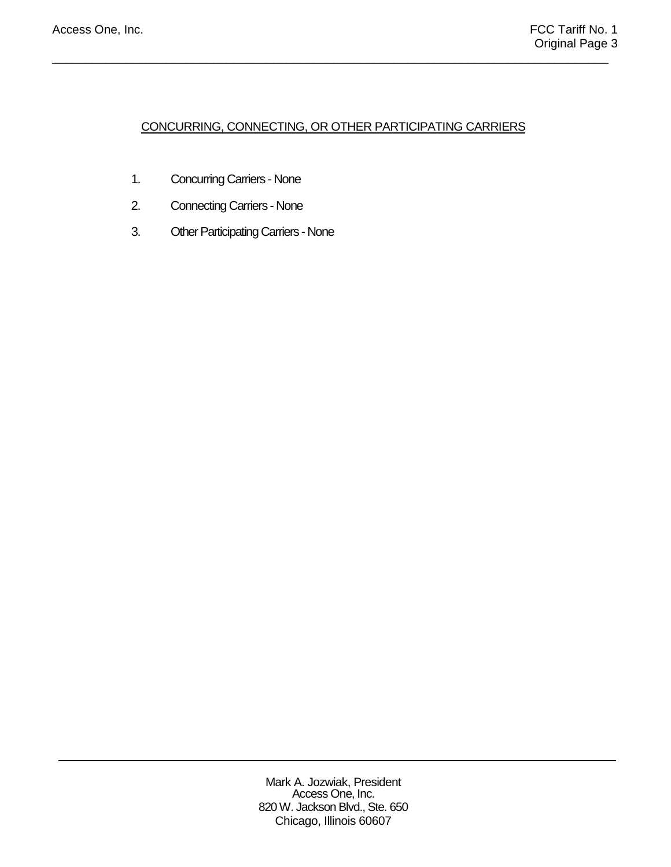## CONCURRING, CONNECTING, OR OTHER PARTICIPATING CARRIERS

\_\_\_\_\_\_\_\_\_\_\_\_\_\_\_\_\_\_\_\_\_\_\_\_\_\_\_\_\_\_\_\_\_\_\_\_\_\_\_\_\_\_\_\_\_\_\_\_\_\_\_\_\_\_\_\_\_\_\_\_\_\_\_\_\_\_\_\_\_\_\_\_\_\_\_\_\_\_\_\_\_\_\_

- 1. Concurring Carriers None
- 2. Connecting Carriers None
- 3. Other Participating Carriers None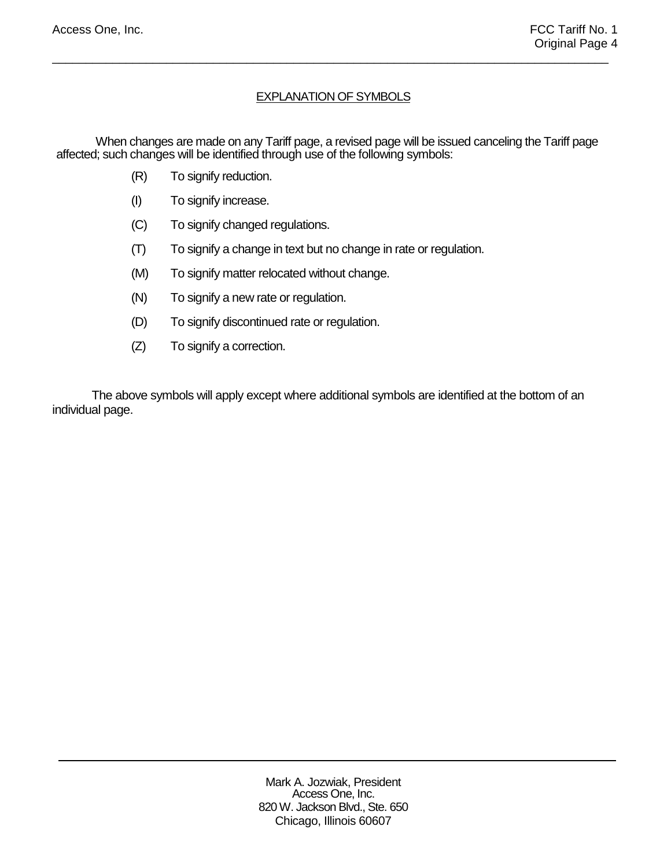## EXPLANATION OF SYMBOLS

\_\_\_\_\_\_\_\_\_\_\_\_\_\_\_\_\_\_\_\_\_\_\_\_\_\_\_\_\_\_\_\_\_\_\_\_\_\_\_\_\_\_\_\_\_\_\_\_\_\_\_\_\_\_\_\_\_\_\_\_\_\_\_\_\_\_\_\_\_\_\_\_\_\_\_\_\_\_\_\_\_\_\_

When changes are made on any Tariff page, a revised page will be issued canceling the Tariff page affected; such changes will be identified through use of the following symbols:

- (R) To signify reduction.
- (I) To signify increase.
- (C) To signify changed regulations.
- (T) To signify a change in text but no change in rate or regulation.
- (M) To signify matter relocated without change.
- (N) To signify a new rate or regulation.
- (D) To signify discontinued rate or regulation.
- (Z) To signify a correction.

The above symbols will apply except where additional symbols are identified at the bottom of an individual page.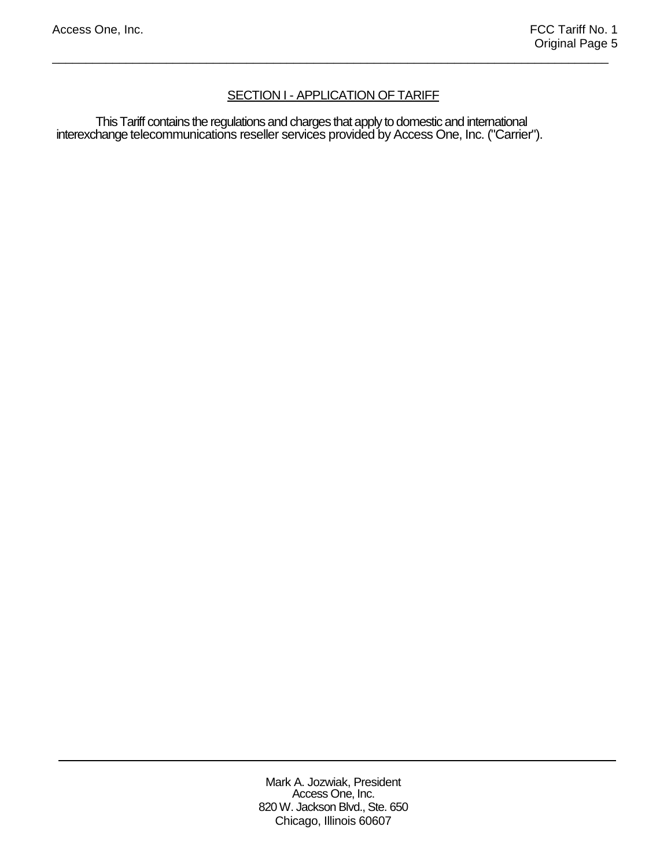# SECTION I - APPLICATION OF TARIFF

\_\_\_\_\_\_\_\_\_\_\_\_\_\_\_\_\_\_\_\_\_\_\_\_\_\_\_\_\_\_\_\_\_\_\_\_\_\_\_\_\_\_\_\_\_\_\_\_\_\_\_\_\_\_\_\_\_\_\_\_\_\_\_\_\_\_\_\_\_\_\_\_\_\_\_\_\_\_\_\_\_\_\_

This Tariff contains the regulations and charges that apply to domestic and international interexchange telecommunications reseller services provided by Access One, Inc. ("Carrier").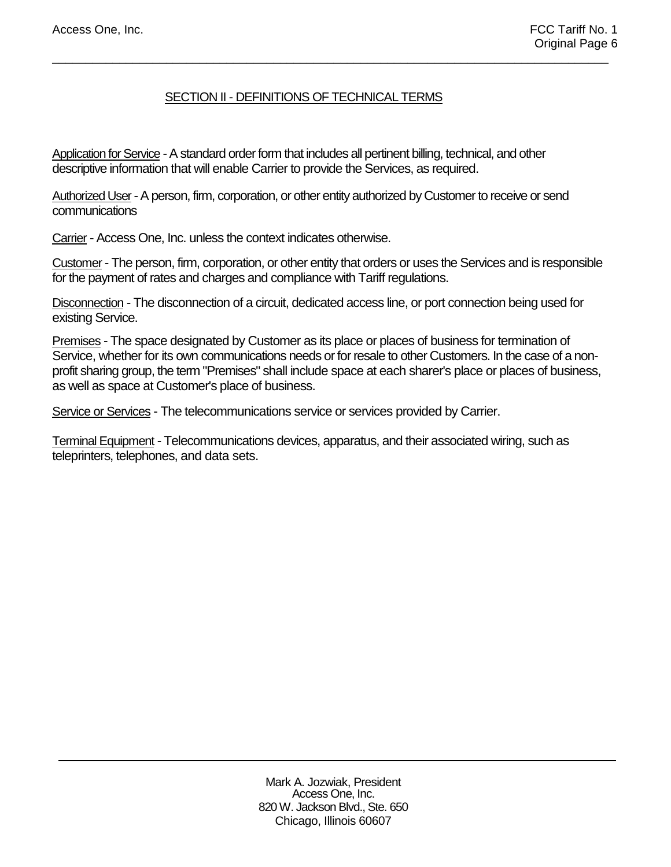# SECTION II - DEFINITIONS OF TECHNICAL TERMS

\_\_\_\_\_\_\_\_\_\_\_\_\_\_\_\_\_\_\_\_\_\_\_\_\_\_\_\_\_\_\_\_\_\_\_\_\_\_\_\_\_\_\_\_\_\_\_\_\_\_\_\_\_\_\_\_\_\_\_\_\_\_\_\_\_\_\_\_\_\_\_\_\_\_\_\_\_\_\_\_\_\_\_

Application for Service - A standard order form that includes all pertinent billing, technical, and other descriptive information that will enable Carrier to provide the Services, as required.

Authorized User - A person, firm, corporation, or other entity authorized by Customer to receive or send communications

Carrier - Access One, Inc. unless the context indicates otherwise.

Customer - The person, firm, corporation, or other entity that orders or uses the Services and is responsible for the payment of rates and charges and compliance with Tariff regulations.

Disconnection - The disconnection of a circuit, dedicated access line, or port connection being used for existing Service.

Premises - The space designated by Customer as its place or places of business for termination of Service, whether for its own communications needs or for resale to other Customers. In the case of a nonprofit sharing group, the term "Premises" shall include space at each sharer's place or places of business, as well as space at Customer's place of business.

Service or Services - The telecommunications service or services provided by Carrier.

Terminal Equipment - Telecommunications devices, apparatus, and their associated wiring, such as teleprinters, telephones, and data sets.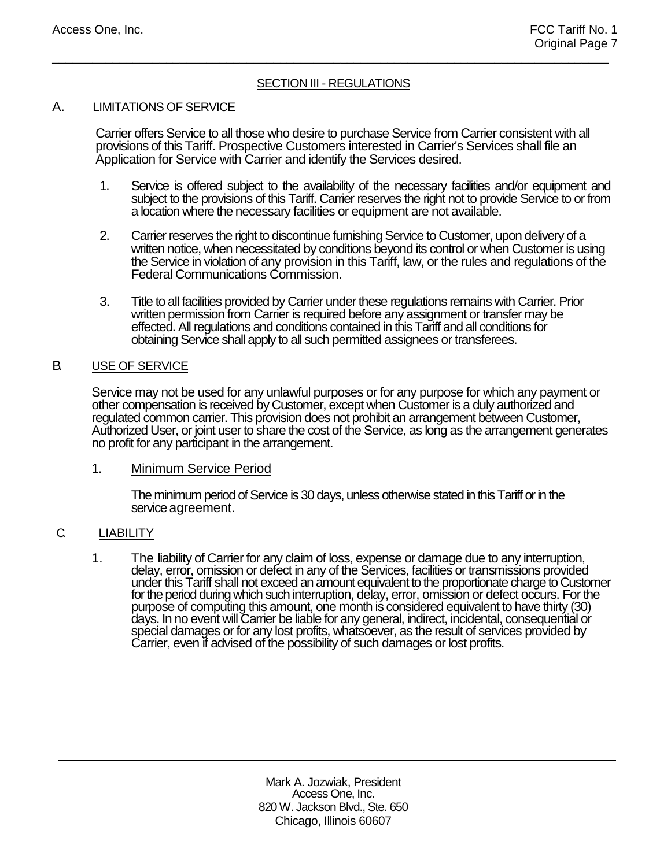## **SECTION III - REGULATIONS**

\_\_\_\_\_\_\_\_\_\_\_\_\_\_\_\_\_\_\_\_\_\_\_\_\_\_\_\_\_\_\_\_\_\_\_\_\_\_\_\_\_\_\_\_\_\_\_\_\_\_\_\_\_\_\_\_\_\_\_\_\_\_\_\_\_\_\_\_\_\_\_\_\_\_\_\_\_\_\_\_\_\_\_

### A. LIMITATIONS OF SERVICE

Carrier offers Service to all those who desire to purchase Service from Carrier consistent with all provisions of this Tariff. Prospective Customers interested in Carrier's Services shall file an Application for Service with Carrier and identify the Services desired.

- 1. Service is offered subject to the availability of the necessary facilities and/or equipment and subject to the provisions of this Tariff. Carrier reserves the right not to provide Service to or from a location where the necessary facilities or equipment are not available.
- 2. Carrier reserves the right to discontinue furnishing Service to Customer, upon delivery of a written notice, when necessitated by conditions beyond its control or when Customer is using the Service in violation of any provision in this Tariff, law, or the rules and regulations of the Federal Communications Commission.
- 3. Title to all facilities provided by Carrier under these regulations remains with Carrier. Prior written permission from Carrier is required before any assignment or transfer may be effected. All regulations and conditions contained in this Tariff and all conditions for obtaining Service shall apply to all such permitted assignees or transferees.

### B. USE OF SERVICE

Service may not be used for any unlawful purposes or for any purpose for which any payment or other compensation is received by Customer, except when Customer is a duly authorized and regulated common carrier. This provision does not prohibit an arrangement between Customer, Authorized User, or joint user to share the cost of the Service, as long as the arrangement generates no profit for any participant in the arrangement.

### 1. Minimum Service Period

The minimum period of Service is 30 days, unless otherwise stated in this Tariff or in the service agreement.

### C. LIABILITY

1. The liability of Carrier for any claim of loss, expense or damage due to any interruption,<br>delay, error, omission or defect in any of the Services, facilities or transmissions provided<br>under this Tariff shall not exceed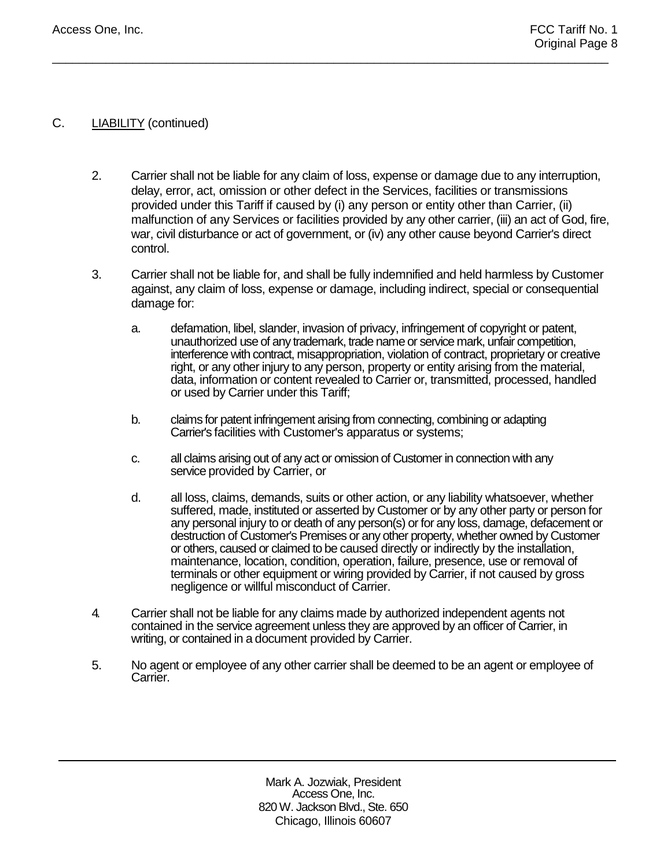- C. LIABILITY (continued)
	- 2. Carrier shall not be liable for any claim of loss, expense or damage due to any interruption, delay, error, act, omission or other defect in the Services, facilities or transmissions provided under this Tariff if caused by (i) any person or entity other than Carrier, (ii) malfunction of any Services or facilities provided by any other carrier, (iii) an act of God, fire, war, civil disturbance or act of government, or (iv) any other cause beyond Carrier's direct control.

\_\_\_\_\_\_\_\_\_\_\_\_\_\_\_\_\_\_\_\_\_\_\_\_\_\_\_\_\_\_\_\_\_\_\_\_\_\_\_\_\_\_\_\_\_\_\_\_\_\_\_\_\_\_\_\_\_\_\_\_\_\_\_\_\_\_\_\_\_\_\_\_\_\_\_\_\_\_\_\_\_\_\_

- 3. Carrier shall not be liable for, and shall be fully indemnified and held harmless by Customer against, any claim of loss, expense or damage, including indirect, special or consequential damage for:
	- a. defamation, libel, slander, invasion of privacy, infringement of copyright or patent, unauthorized use of any trademark, trade name or service mark, unfair competition, interference with contract, misappropriation, violation of contract, proprietary or creative right, or any other injury to any person, property or entity arising from the material, data, information or content revealed to Carrier or, transmitted, processed, handled or used by Carrier under this Tariff;
	- b. claims for patent infringement arising from connecting, combining or adapting Carrier's facilities with Customer's apparatus or systems;
	- c. all claims arising out of any act or omission of Customer in connection with any service provided by Carrier, or
	- d. all loss, claims, demands, suits or other action, or any liability whatsoever, whether suffered, made, instituted or asserted by Customer or by any other party or person for any personal injury to or death of any person(s) or for any loss, damage, defacement or destruction of Customer's Premises or any other property, whether owned by Customer or others, caused or claimed to be caused directly or indirectly by the installation, maintenance, location, condition, operation, failure, presence, use or removal of terminals or other equipment or wiring provided by Carrier, if not caused by gross negligence or willful misconduct of Carrier.
- 4. Carrier shall not be liable for any claims made by authorized independent agents not contained in the service agreement unless they are approved by an officer of Carrier, in writing, or contained in a document provided by Carrier.
- 5. No agent or employee of any other carrier shall be deemed to be an agent or employee of Carrier.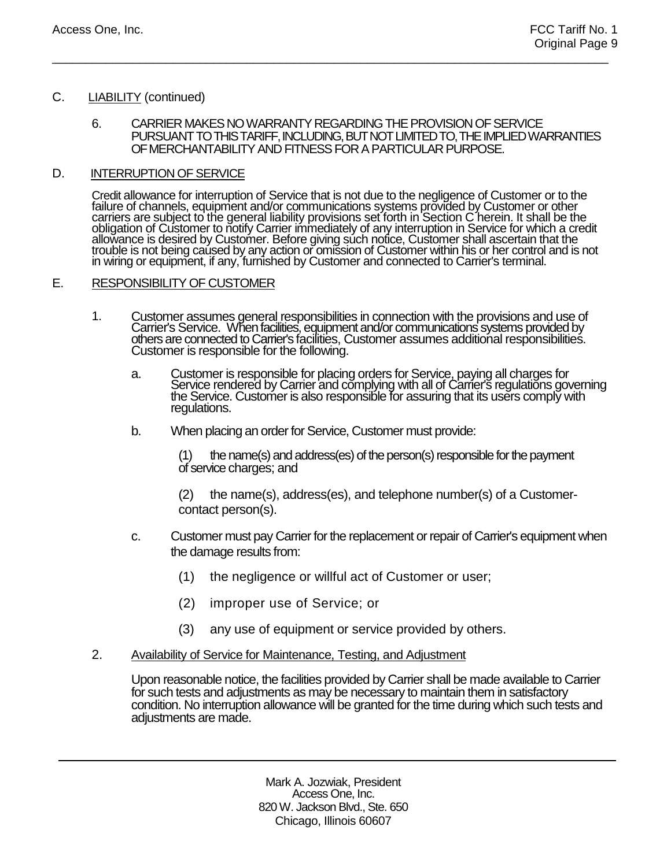- C. LIABILITY (continued)
	- 6. CARRIER MAKES NO WARRANTY REGARDING THE PROVISION OF SERVICE PURSUANT TO THIS TARIFF, INCLUDING, BUT NOT LIMITED TO, THE IMPLIED WARRANTIES OF MERCHANTABILITY AND FITNESS FOR A PARTICULAR PURPOSE.

\_\_\_\_\_\_\_\_\_\_\_\_\_\_\_\_\_\_\_\_\_\_\_\_\_\_\_\_\_\_\_\_\_\_\_\_\_\_\_\_\_\_\_\_\_\_\_\_\_\_\_\_\_\_\_\_\_\_\_\_\_\_\_\_\_\_\_\_\_\_\_\_\_\_\_\_\_\_\_\_\_\_\_

## D. INTERRUPTION OF SERVICE

Credit allowance for interruption of Service that is not due to the negligence of Customer or to the failure of channels, equipment and/or communications systems provided by Customer or other carriers are subject to the ge

## E. RESPONSIBILITY OF CUSTOMER

- 1. Customer assumes general responsibilities in connection with the provisions and use of Carrier's Service. When facilities, equipment and/or communications systems provided by others are connected to Carrier's facilities, Customer assumes additional responsibilities. Customer is responsible for the following.
	- a. Customer is responsible for placing orders for Service, paying all charges for Service rendered by Carrier and complying with all of Carrier's regulations governing<br>the Service. Customer is also responsible for assuring that its users comply with<br>regulations.
	- b. When placing an order for Service, Customer must provide:

(1) the name(s) and address(es) of the person(s) responsible for the payment of service charges; and

(2) the name(s), address(es), and telephone number(s) of a Customercontact person(s).

- c. Customer must pay Carrier for the replacement or repair of Carrier's equipment when the damage results from:
	- (1) the negligence or willful act of Customer or user;
	- (2) improper use of Service; or
	- (3) any use of equipment or service provided by others.
- 2. Availability of Service for Maintenance, Testing, and Adjustment

Upon reasonable notice, the facilities provided by Carrier shall be made available to Carrier for such tests and adjustments as may be necessary to maintain them in satisfactory condition. No interruption allowance will be granted for the time during which such tests and adjustments are made.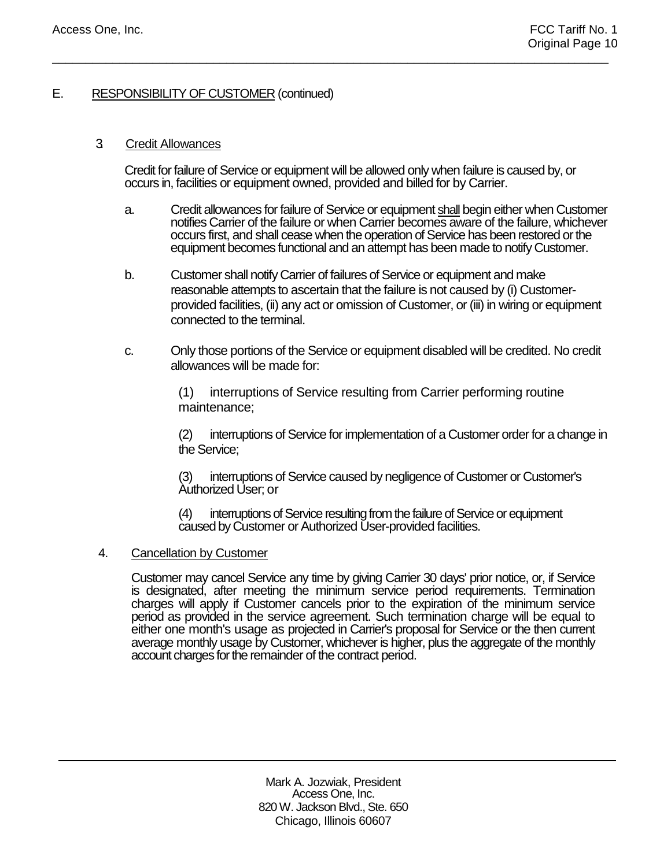## E. RESPONSIBILITY OF CUSTOMER (continued)

### 3. Credit Allowances

Credit for failure of Service or equipment will be allowed only when failure is caused by, or occurs in, facilities or equipment owned, provided and billed for by Carrier.

\_\_\_\_\_\_\_\_\_\_\_\_\_\_\_\_\_\_\_\_\_\_\_\_\_\_\_\_\_\_\_\_\_\_\_\_\_\_\_\_\_\_\_\_\_\_\_\_\_\_\_\_\_\_\_\_\_\_\_\_\_\_\_\_\_\_\_\_\_\_\_\_\_\_\_\_\_\_\_\_\_\_\_

- a. Credit allowances for failure of Service or equipment shall begin either when Customer notifies Carrier of the failure or when Carrier becomes aware of the failure, whichever occurs first, and shall cease when the operation of Service has been restored or the equipment becomes functional and an attempt has been made to notify Customer.
- b. Customer shall notify Carrier of failures of Service or equipment and make reasonable attempts to ascertain that the failure is not caused by (i) Customerprovided facilities, (ii) any act or omission of Customer, or (iii) in wiring or equipment connected to the terminal.
- c. Only those portions of the Service or equipment disabled will be credited. No credit allowances will be made for:

(1) interruptions of Service resulting from Carrier performing routine maintenance;

(2) interruptions of Service for implementation of a Customer order for a change in the Service;

(3) interruptions of Service caused by negligence of Customer or Customer's Authorized User; or

(4) interruptions of Service resulting from the failure of Service or equipment caused by Customer or Authorized User-provided facilities.

### 4. Cancellation by Customer

Customer may cancel Service any time by giving Carrier 30 days' prior notice, or, if Service is designated, after meeting the minimum service period requirements. Termination charges will apply if Customer cancels prior to the expiration of the minimum service period as provided in the service agreement. Such termination charge will be equal to either one month's usage as projected in Carrier's proposal for Service or the then current average monthly usage by Customer, whichever is higher, plus the aggregate of the monthly account charges for the remainder of the contract period.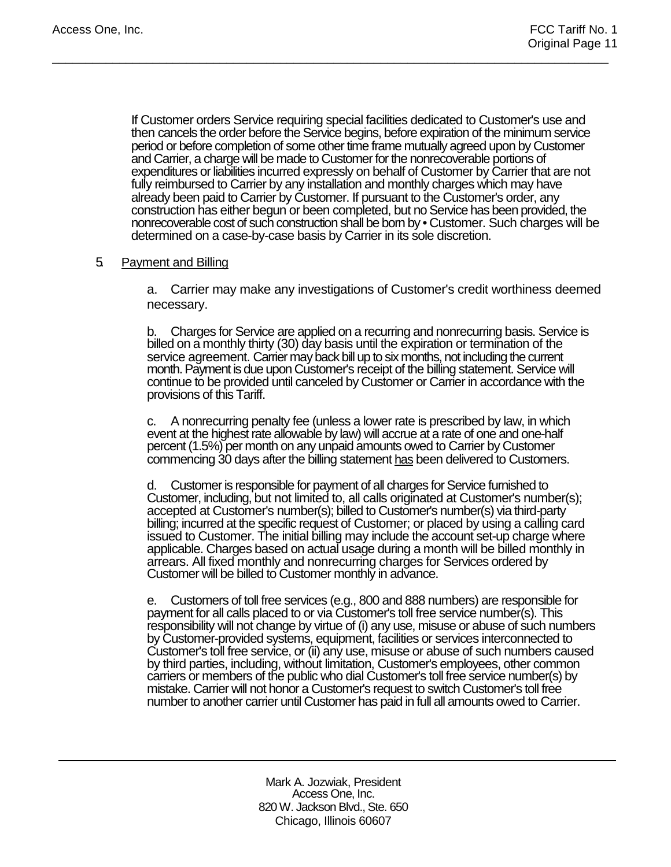If Customer orders Service requiring special facilities dedicated to Customer's use and then cancels the order before the Service begins, before expiration of the minimum service period or before completion of some other time frame mutually agreed upon by Customer and Carrier, a charge will be made to Customer for the nonrecoverable portions of expenditures or liabilities incurred expressly on behalf of Customer by Carrier that are not fully reimbursed to Carrier by any installation and monthly charges which may have already been paid to Carrier by Customer. If pursuant to the Customer's order, any construction has either begun or been completed, but no Service has been provided, the nonrecoverable cost of such construction shall be born by • Customer. Such charges will be determined on a case-by-case basis by Carrier in its sole discretion.

\_\_\_\_\_\_\_\_\_\_\_\_\_\_\_\_\_\_\_\_\_\_\_\_\_\_\_\_\_\_\_\_\_\_\_\_\_\_\_\_\_\_\_\_\_\_\_\_\_\_\_\_\_\_\_\_\_\_\_\_\_\_\_\_\_\_\_\_\_\_\_\_\_\_\_\_\_\_\_\_\_\_\_

### 5. Payment and Billing

a. Carrier may make any investigations of Customer's credit worthiness deemed necessary.

b. Charges for Service are applied on a recurring and nonrecurring basis. Service is billed on a monthly thirty (30) day basis until the expiration or termination of the service agreement. Carrier may back bill up to six months, not including the current month. Payment is due upon Customer's receipt of the billing statement. Service will continue to be provided until canceled by Customer or Carrier in accordance with the provisions of this Tariff.

c. A nonrecurring penalty fee (unless a lower rate is prescribed by law, in which event at the highest rate allowable by law) will accrue at a rate of one and one-half percent (1.5%) per month on any unpaid amounts owed to Carrier by Customer commencing 30 days after the billing statement has been delivered to Customers.

d. Customer is responsible for payment of all charges for Service furnished to Customer, including, but not limited to, all calls originated at Customer's number(s); accepted at Customer's number(s); billed to Customer's number(s) via third-party billing; incurred at the specific request of Customer; or placed by using a calling card issued to Customer. The initial billing may include the account set-up charge where applicable. Charges based on actual usage during a month will be billed monthly in arrears. All fixed monthly and nonrecurring charges for Services ordered by Customer will be billed to Customer monthly in advance.

e. Customers of toll free services (e.g., 800 and 888 numbers) are responsible for payment for all calls placed to or via Customer's toll free service number(s). This responsibility will not change by virtue of (i) any use, misuse or abuse of such numbers by Customer-provided systems, equipment, facilities or services interconnected to Customer's toll free service, or (ii) any use, misuse or abuse of such numbers caused by third parties, including, without limitation, Customer's employees, other common carriers or members of the public who dial Customer's toll free service number(s) by mistake. Carrier will not honor a Customer's request to switch Customer's toll free number to another carrier until Customer has paid in full all amounts owed to Carrier.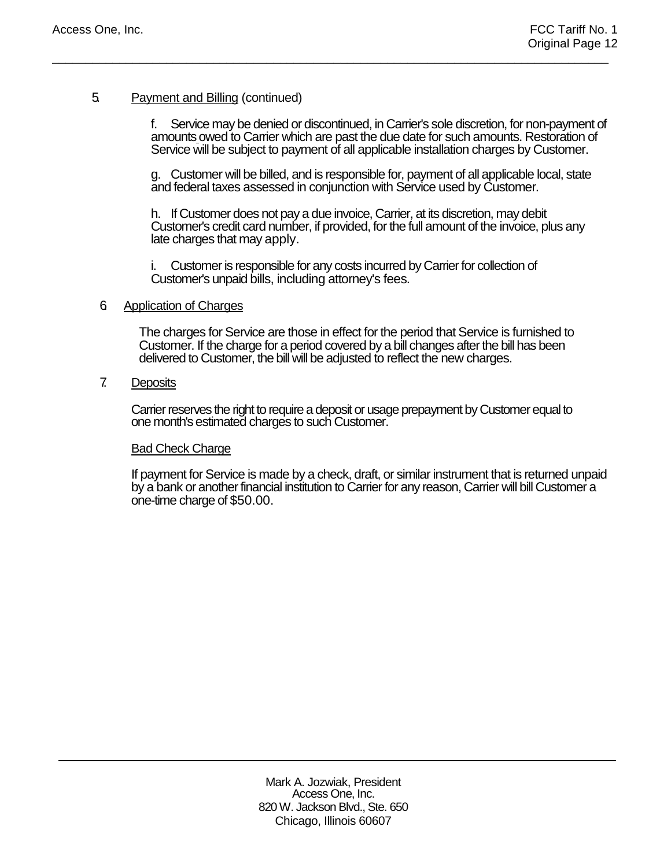# 5 Payment and Billing (continued)

f. Service may be denied or discontinued, in Carrier's sole discretion, for non-payment of amounts owed to Carrier which are past the due date for such amounts. Restoration of Service will be subject to payment of all applicable installation charges by Customer.

g. Customer will be billed, and is responsible for, payment of all applicable local, state and federal taxes assessed in conjunction with Service used by Customer.

h. If Customer does not pay a due invoice, Carrier, at its discretion, may debit Customer's credit card number, if provided, for the full amount of the invoice, plus any late charges that may apply.

i. Customer is responsible for any costs incurred by Carrier for collection of Customer's unpaid bills, including attorney's fees.

\_\_\_\_\_\_\_\_\_\_\_\_\_\_\_\_\_\_\_\_\_\_\_\_\_\_\_\_\_\_\_\_\_\_\_\_\_\_\_\_\_\_\_\_\_\_\_\_\_\_\_\_\_\_\_\_\_\_\_\_\_\_\_\_\_\_\_\_\_\_\_\_\_\_\_\_\_\_\_\_\_\_\_

### 6. Application of Charges

The charges for Service are those in effect for the period that Service is furnished to Customer. If the charge for a period covered by a bill changes after the bill has been delivered to Customer, the bill will be adjusted to reflect the new charges.

### 7. **Deposits**

Carrier reserves the right to require a deposit or usage prepayment by Customer equal to one month's estimated charges to such Customer.

### Bad Check Charge

If payment for Service is made by a check, draft, or similar instrument that is returned unpaid by a bank or another financial institution to Carrier for any reason, Carrier will bill Customer a one-time charge of \$50.00.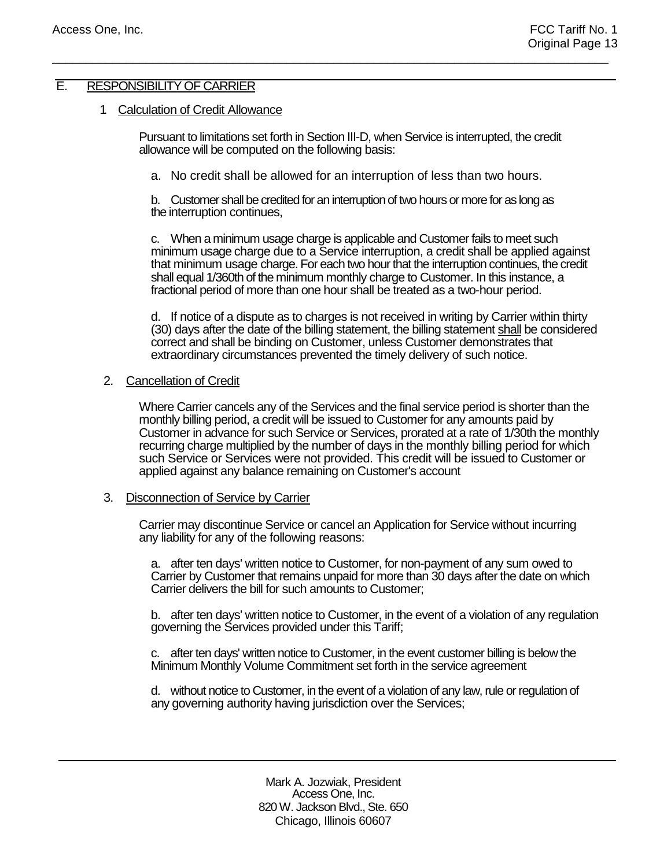### E. RESPONSIBILITY OF CARRIER

### 1. Calculation of Credit Allowance

Pursuant to limitations set forth in Section III-D, when Service is interrupted, the credit allowance will be computed on the following basis:

\_\_\_\_\_\_\_\_\_\_\_\_\_\_\_\_\_\_\_\_\_\_\_\_\_\_\_\_\_\_\_\_\_\_\_\_\_\_\_\_\_\_\_\_\_\_\_\_\_\_\_\_\_\_\_\_\_\_\_\_\_\_\_\_\_\_\_\_\_\_\_\_\_\_\_\_\_\_\_\_\_\_\_

a. No credit shall be allowed for an interruption of less than two hours.

b. Customer shall be credited for an interruption of two hours or more for as long as the interruption continues,

c. When a minimum usage charge is applicable and Customer fails to meet such minimum usage charge due to a Service interruption, a credit shall be applied against that minimum usage charge. For each two hour that the interruption continues, the credit shall equal 1/360th of the minimum monthly charge to Customer. In this instance, a fractional period of more than one hour shall be treated as a two-hour period.

d. If notice of a dispute as to charges is not received in writing by Carrier within thirty (30) days after the date of the billing statement, the billing statement shall be considered correct and shall be binding on Customer, unless Customer demonstrates that extraordinary circumstances prevented the timely delivery of such notice.

### 2. Cancellation of Credit

Where Carrier cancels any of the Services and the final service period is shorter than the monthly billing period, a credit will be issued to Customer for any amounts paid by Customer in advance for such Service or Services, prorated at a rate of 1/30th the monthly recurring charge multiplied by the number of days in the monthly billing period for which such Service or Services were not provided. This credit will be issued to Customer or applied against any balance remaining on Customer's account

## 3. Disconnection of Service by Carrier

Carrier may discontinue Service or cancel an Application for Service without incurring any liability for any of the following reasons:

a. after ten days' written notice to Customer, for non-payment of any sum owed to Carrier by Customer that remains unpaid for more than 30 days after the date on which Carrier delivers the bill for such amounts to Customer;

b. after ten days' written notice to Customer, in the event of a violation of any regulation governing the Services provided under this Tariff;

c. after ten days' written notice to Customer, in the event customer billing is below the Minimum Monthly Volume Commitment set forth in the service agreement

d. without notice to Customer, in the event of a violation of any law, rule or regulation of any governing authority having jurisdiction over the Services;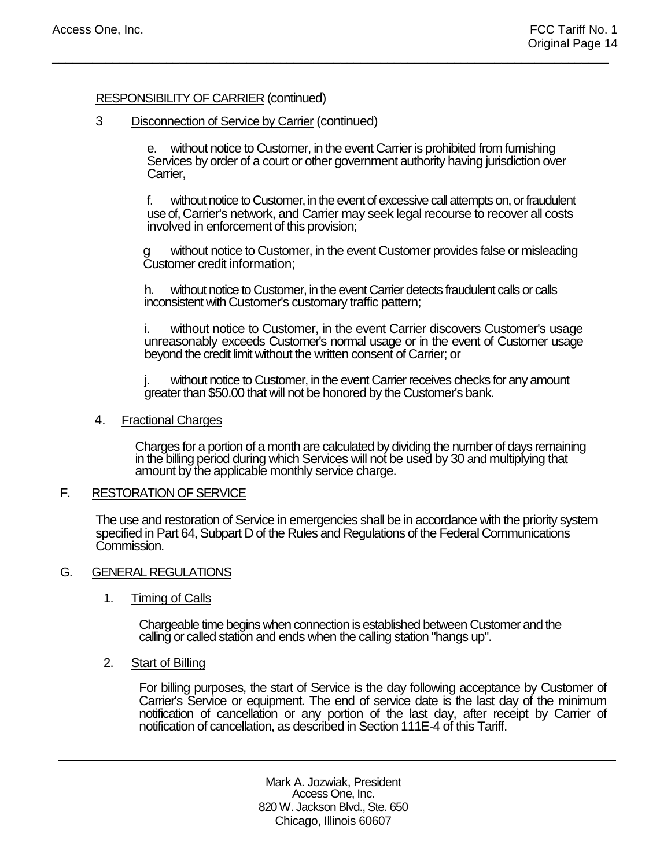## RESPONSIBILITY OF CARRIER (continued)

### 3. Disconnection of Service by Carrier (continued)

e. without notice to Customer, in the event Carrier is prohibited from furnishing Services by order of a court or other government authority having jurisdiction over Carrier,

\_\_\_\_\_\_\_\_\_\_\_\_\_\_\_\_\_\_\_\_\_\_\_\_\_\_\_\_\_\_\_\_\_\_\_\_\_\_\_\_\_\_\_\_\_\_\_\_\_\_\_\_\_\_\_\_\_\_\_\_\_\_\_\_\_\_\_\_\_\_\_\_\_\_\_\_\_\_\_\_\_\_\_

f. without notice to Customer, in the event of excessive call attempts on, or fraudulent use of, Carrier's network, and Carrier may seek legal recourse to recover all costs involved in enforcement of this provision;

without notice to Customer, in the event Customer provides false or misleading g With Dutch Customer credit information;

h. without notice to Customer, in the event Carrier detects fraudulent calls or calls inconsistent with Customer's customary traffic pattern;

i. without notice to Customer, in the event Carrier discovers Customer's usage unreasonably exceeds Customer's normal usage or in the event of Customer usage beyond the credit limit without the written consent of Carrier; or

j. without notice to Customer, in the event Carrier receives checks for any amount greater than \$50.00 that will not be honored by the Customer's bank.

### 4. Fractional Charges

Charges for a portion of a month are calculated by dividing the number of days remaining in the billing period during which Services will not be used by 30 <u>and</u> multiplying that<br>amount by the applicable monthly service charge.

### F. RESTORATION OF SERVICE

The use and restoration of Service in emergencies shall be in accordance with the priority system specified in Part 64, Subpart D of the Rules and Regulations of the Federal Communications Commission.

### G. GENERAL REGULATIONS

1. Timing of Calls

> Chargeable time begins when connection is established between Customer and the calling or called station and ends when the calling station "hangs up".

### 2. Start of Billing

For billing purposes, the start of Service is the day following acceptance by Customer of Carrier's Service or equipment. The end of service date is the last day of the minimum notification of cancellation or any portion of the last day, after receipt by Carrier of notification of cancellation, as described in Section 111E-4 of this Tariff.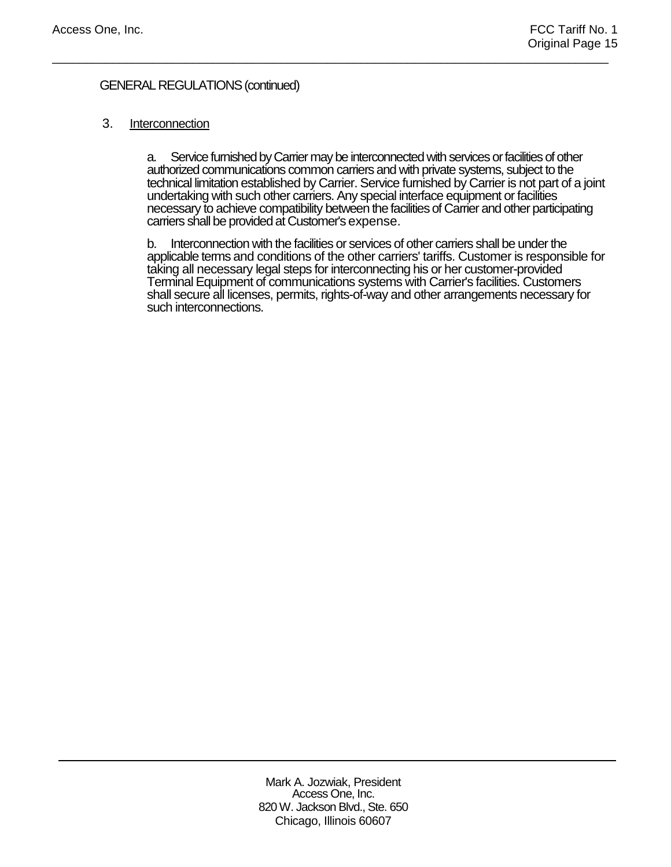## GENERAL REGULATIONS (continued)

### 3. **Interconnection**

a. Service furnished by Carrier may be interconnected with services or facilities of other authorized communications common carriers and with private systems, subject to the technical limitation established by Carrier. Service furnished by Carrier is not part of a joint undertaking with such other carriers. Any special interface equipment or facilities necessary to achieve compatibility between the facilities of Carrier and other participating carriers shall be provided at Customer's expense.

\_\_\_\_\_\_\_\_\_\_\_\_\_\_\_\_\_\_\_\_\_\_\_\_\_\_\_\_\_\_\_\_\_\_\_\_\_\_\_\_\_\_\_\_\_\_\_\_\_\_\_\_\_\_\_\_\_\_\_\_\_\_\_\_\_\_\_\_\_\_\_\_\_\_\_\_\_\_\_\_\_\_\_

b. Interconnection with the facilities or services of other carriers shall be under the applicable terms and conditions of the other carriers' tariffs. Customer is responsible for taking all necessary legal steps for interconnecting his or her customer-provided Terminal Equipment of communications systems with Carrier's facilities. Customers shall secure all licenses, permits, rights-of-way and other arrangements necessary for such interconnections.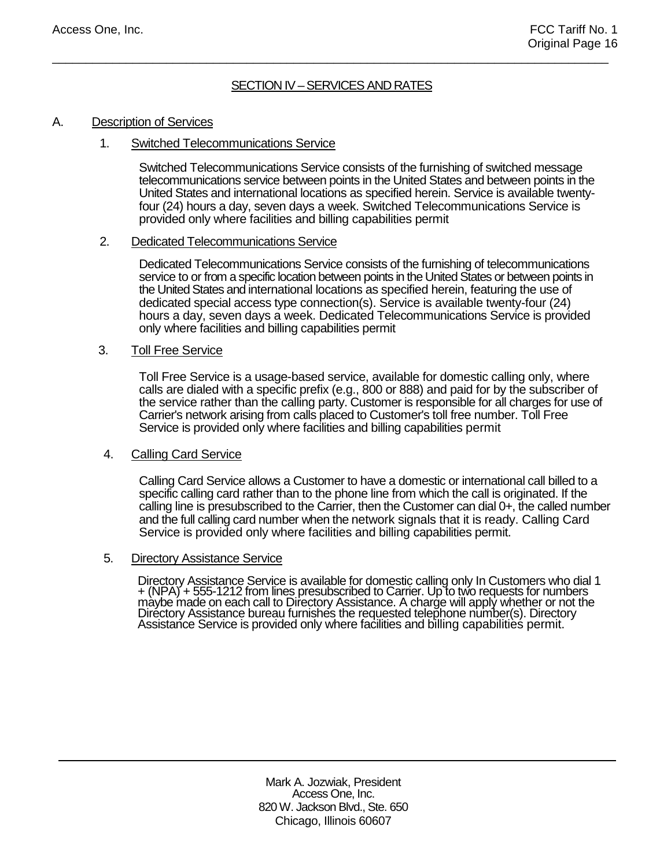## SECTION IV – SERVICES AND RATES

\_\_\_\_\_\_\_\_\_\_\_\_\_\_\_\_\_\_\_\_\_\_\_\_\_\_\_\_\_\_\_\_\_\_\_\_\_\_\_\_\_\_\_\_\_\_\_\_\_\_\_\_\_\_\_\_\_\_\_\_\_\_\_\_\_\_\_\_\_\_\_\_\_\_\_\_\_\_\_\_\_\_\_

### A. Description of Services

### 1. Switched Telecommunications Service

Switched Telecommunications Service consists of the furnishing of switched message telecommunications service between points in the United States and between points in the United States and international locations as specified herein. Service is available twentyfour (24) hours a day, seven days a week. Switched Telecommunications Service is provided only where facilities and billing capabilities permit

### 2. Dedicated Telecommunications Service

Dedicated Telecommunications Service consists of the furnishing of telecommunications service to or from a specific location between points in the United States or between points in the United States and international locations as specified herein, featuring the use of dedicated special access type connection(s). Service is available twenty-four (24) hours a day, seven days a week. Dedicated Telecommunications Service is provided only where facilities and billing capabilities permit

### 3. Toll Free Service

Toll Free Service is a usage-based service, available for domestic calling only, where calls are dialed with a specific prefix (e.g., 800 or 888) and paid for by the subscriber of the service rather than the calling party. Customer is responsible for all charges for use of Carrier's network arising from calls placed to Customer's toll free number. Toll Free Service is provided only where facilities and billing capabilities permit

### 4. Calling Card Service

Calling Card Service allows a Customer to have a domestic or international call billed to a specific calling card rather than to the phone line from which the call is originated. If the calling line is presubscribed to the Carrier, then the Customer can dial 0+, the called number and the full calling card number when the network signals that it is ready. Calling Card Service is provided only where facilities and billing capabilities permit.

### 5. Directory Assistance Service

Directory Assistance Service is available for domestic calling only In Customers who dial 1 + (NPA) + 555-1212 from lines presubscribed to Carrier. Up to two requests for numbers<br>maybe made on each call to Directory Assistance. A charge will apply whether or not the<br>Directory Assistance bureau furnishes the reque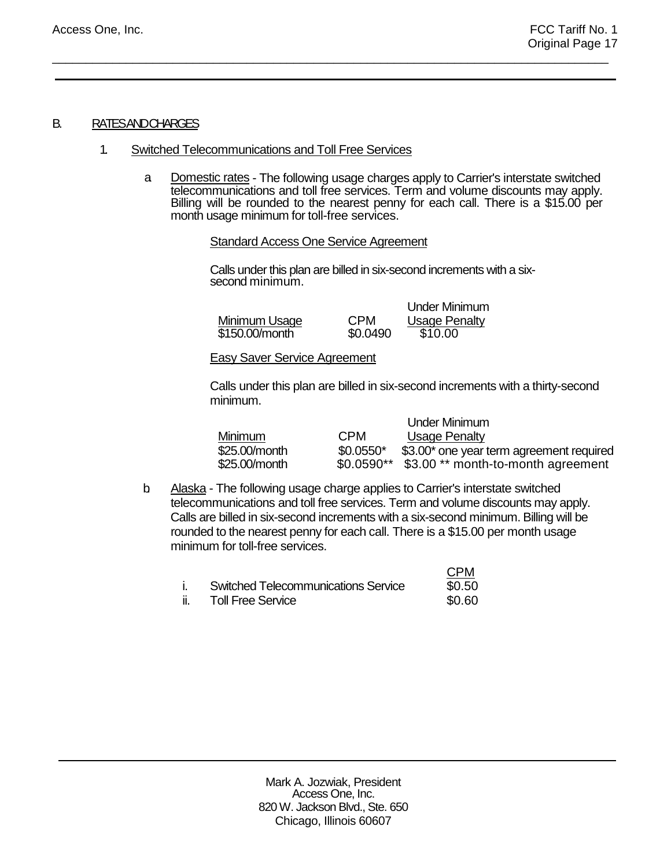### B. RATES AND CHARGES

### 1. Switched Telecommunications and Toll Free Services

a. Domestic rates telecommunications and toll free services. Term and volume discounts may apply. Billing will be rounded to the nearest penny for each call. There is a \$15.00 per month usage minimum for toll-free services. - The following usage charges apply to Carrier's interstate switched

### Standard Access One Service Agreement

\_\_\_\_\_\_\_\_\_\_\_\_\_\_\_\_\_\_\_\_\_\_\_\_\_\_\_\_\_\_\_\_\_\_\_\_\_\_\_\_\_\_\_\_\_\_\_\_\_\_\_\_\_\_\_\_\_\_\_\_\_\_\_\_\_\_\_\_\_\_\_\_\_\_\_\_\_\_\_\_\_\_\_

Calls under this plan are billed in six-second increments with a six- second minimum.

|                |            | Under Minimum        |
|----------------|------------|----------------------|
| Minimum Usage  | <b>CPM</b> | <b>Usage Penalty</b> |
| \$150.00/month | \$0.0490   | \$10.00              |

### Easy Saver Service Agreement

Calls under this plan are billed in six-second increments with a thirty-second minimum.

|                |             | Under Minimum                            |
|----------------|-------------|------------------------------------------|
| <b>Minimum</b> | <b>CPM</b>  | <b>Usage Penalty</b>                     |
| \$25.00/month  | $$0.0550*$  | \$3.00* one year term agreement required |
| \$25.00/month  | $$0.0590**$ | \$3.00 ** month-to-month agreement       |

b. Alaska - The following usage charge applies to Carrier's interstate switched telecommunications and toll free services. Term and volume discounts may apply. Calls are billed in six-second increments with a six-second minimum. Billing will be rounded to the nearest penny for each call. There is a \$15.00 per month usage minimum for toll-free services.

|            |                                     | <b>CPM</b> |
|------------|-------------------------------------|------------|
|            | Switched Telecommunications Service | \$0.50     |
| <b>II.</b> | <b>Toll Free Service</b>            | \$0.60     |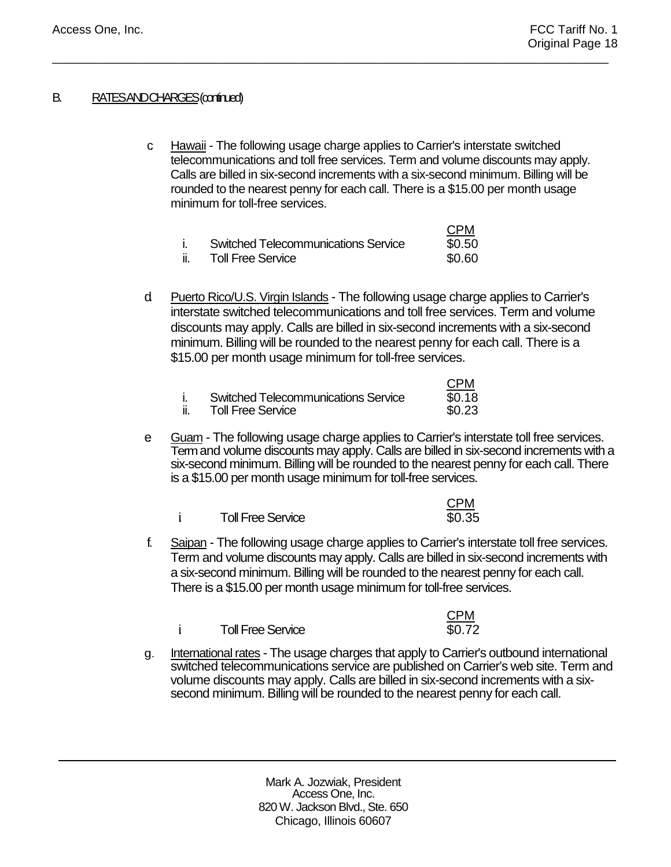## B. RATES AND CHARGES (continued)

c. Hawaii - The following usage charge applies to Carrier's interstate switched telecommunications and toll free services. Term and volume discounts may apply. Calls are billed in six-second increments with a six-second minimum. Billing will be rounded to the nearest penny for each call. There is a \$15.00 per month usage minimum for toll-free services.

|    |                                            | <b>CPM</b> |
|----|--------------------------------------------|------------|
|    | <b>Switched Telecommunications Service</b> | \$0.50     |
| H. | <b>Toll Free Service</b>                   | \$0.60     |

\_\_\_\_\_\_\_\_\_\_\_\_\_\_\_\_\_\_\_\_\_\_\_\_\_\_\_\_\_\_\_\_\_\_\_\_\_\_\_\_\_\_\_\_\_\_\_\_\_\_\_\_\_\_\_\_\_\_\_\_\_\_\_\_\_\_\_\_\_\_\_\_\_\_\_\_\_\_\_\_\_\_\_

d. Puerto Rico/U.S. Virgin Islands - The following usage charge applies to Carrier's interstate switched telecommunications and toll free services. Term and volume discounts may apply. Calls are billed in six-second increments with a six-second minimum. Billing will be rounded to the nearest penny for each call. There is a \$15.00 per month usage minimum for toll-free services.

|    |                                            | <b>CPM</b> |
|----|--------------------------------------------|------------|
|    | <b>Switched Telecommunications Service</b> | \$0.18     |
| Ⅱ. | <b>Toll Free Service</b>                   | \$0.23     |

e. Guam - The following usage charge applies to Carrier's interstate toll free services. Term and volume discounts may apply. Calls are billed in six-second increments with a six-second minimum. Billing will be rounded to the nearest penny for each call. There is a \$15.00 per month usage minimum for toll-free services.

|                          | <b>CPM</b> |
|--------------------------|------------|
| <b>Toll Free Service</b> | \$0.35     |

f. Saipan - The following usage charge applies to Carrier's interstate toll free services. Term and volume discounts may apply. Calls are billed in six-second increments with a six-second minimum. Billing will be rounded to the nearest penny for each call. There is a \$15.00 per month usage minimum for toll-free services.

|                          | <b>CPM</b> |
|--------------------------|------------|
| <b>Toll Free Service</b> | \$0.72     |

g. International rates - The usage charges that apply to Carrier's outbound international switched telecommunications service are published on Carrier's web site. Term and volume discounts may apply. Calls are billed in six-second increments with a sixsecond minimum. Billing will be rounded to the nearest penny for each call.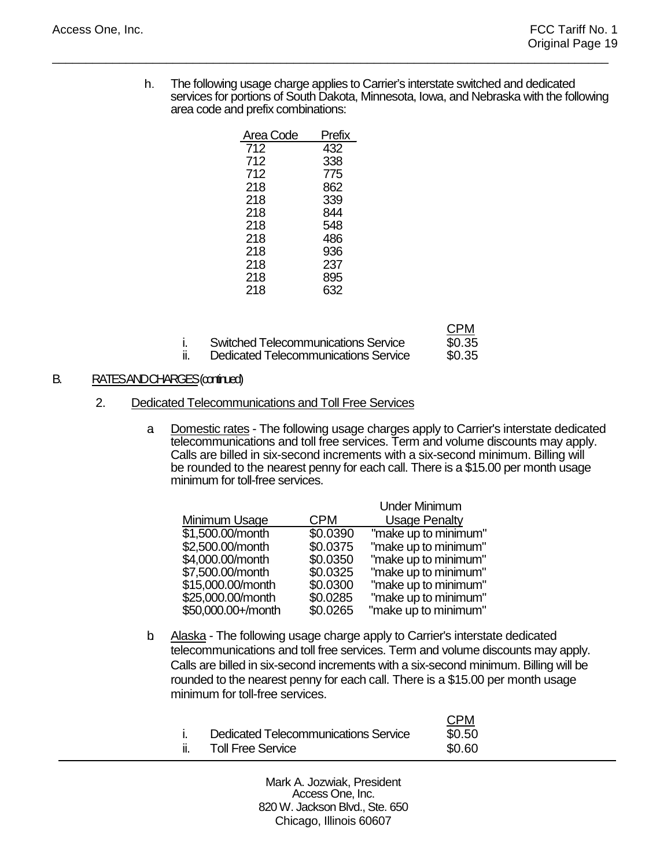h. The following usage charge applies to Carrier's interstate switched and dedicated services for portions of South Dakota, Minnesota, Iowa, and Nebraska with the following area code and prefix combinations:

\_\_\_\_\_\_\_\_\_\_\_\_\_\_\_\_\_\_\_\_\_\_\_\_\_\_\_\_\_\_\_\_\_\_\_\_\_\_\_\_\_\_\_\_\_\_\_\_\_\_\_\_\_\_\_\_\_\_\_\_\_\_\_\_\_\_\_\_\_\_\_\_\_\_\_\_\_\_\_\_\_\_\_

| Area Code | Prefix |
|-----------|--------|
| 712       | 432    |
| 712       | 338    |
| 712       | 775    |
| 218       | 862    |
| 218       | 339    |
| 218       | 844    |
| 218       | 548    |
| 218       | 486    |
| 218       | 936    |
| 218       | 237    |
| 218       | 895    |
| 218       | 632    |

|        |                                             | <b>UPM</b> |
|--------|---------------------------------------------|------------|
|        | <b>Switched Telecommunications Service</b>  | \$0.35     |
| <br>Ш. | <b>Dedicated Telecommunications Service</b> | \$0.35     |

# B. RATESANDCHARGES(continued)

### 2. Dedicated Telecommunications and Toll Free Services

a. Domestic rates - The following usage charges apply to Carrier's interstate dedicated telecommunications and toll free services. Term and volume discounts may apply. Calls are billed in six-second increments with a six-second minimum. Billing will be rounded to the nearest penny for each call. There is a \$15.00 per month usage minimum for toll-free services.

 $\sim$ 

 $\sim$ 

|                    |            | <b>Under Minimum</b> |
|--------------------|------------|----------------------|
| Minimum Usage      | <b>CPM</b> | <b>Usage Penalty</b> |
| \$1,500.00/month   | \$0.0390   | "make up to minimum" |
| \$2,500.00/month   | \$0.0375   | "make up to minimum" |
| \$4,000.00/month   | \$0.0350   | "make up to minimum" |
| \$7,500.00/month   | \$0.0325   | "make up to minimum" |
| \$15,000.00/month  | \$0.0300   | "make up to minimum" |
| \$25,000.00/month  | \$0.0285   | "make up to minimum" |
| \$50,000.00+/month | \$0.0265   | "make up to minimum" |

b. Alaska - The following usage charge apply to Carrier's interstate dedicated telecommunications and toll free services. Term and volume discounts may apply. Calls are billed in six-second increments with a six-second minimum. Billing will be rounded to the nearest penny for each call. There is a \$15.00 per month usage minimum for toll-free services.

|                                      | <b>CPM</b> |
|--------------------------------------|------------|
| Dedicated Telecommunications Service | \$0.50     |
| <br><b>Toll Free Service</b>         | \$0.60     |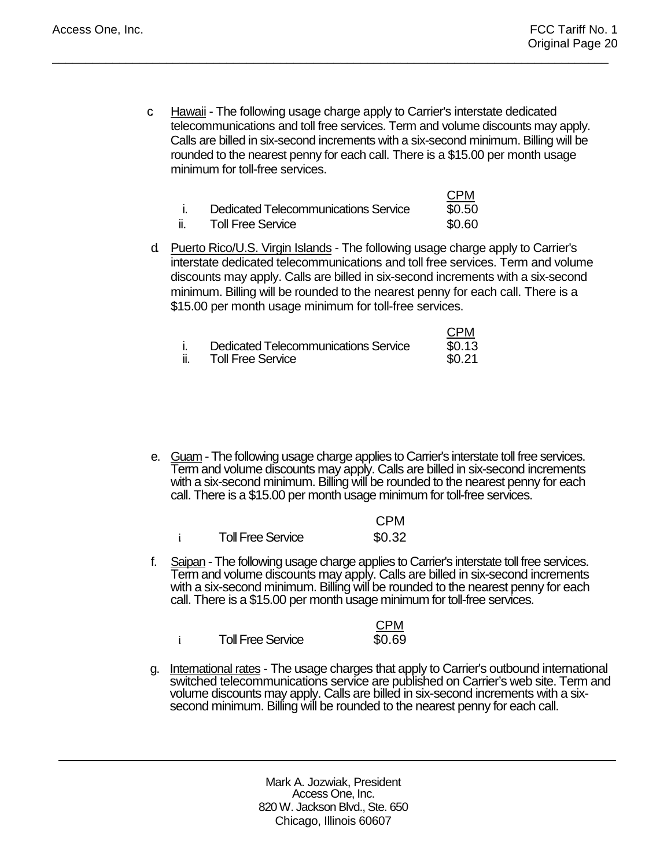c. Hawaii - The following usage charge apply to Carrier's interstate dedicated telecommunications and toll free services. Term and volume discounts may apply. Calls are billed in six-second increments with a six-second minimum. Billing will be rounded to the nearest penny for each call. There is a \$15.00 per month usage minimum for toll-free services.

 $\sim$ 

 $\sim$ 

|                     |                                             | <b>CPM</b> |
|---------------------|---------------------------------------------|------------|
|                     | <b>Dedicated Telecommunications Service</b> | \$0.50     |
| <br>$\mathbf{II}$ . | <b>Toll Free Service</b>                    | \$0.60     |

\_\_\_\_\_\_\_\_\_\_\_\_\_\_\_\_\_\_\_\_\_\_\_\_\_\_\_\_\_\_\_\_\_\_\_\_\_\_\_\_\_\_\_\_\_\_\_\_\_\_\_\_\_\_\_\_\_\_\_\_\_\_\_\_\_\_\_\_\_\_\_\_\_\_\_\_\_\_\_\_\_\_\_

d. Puerto Rico/U.S. Virgin Islands - The following usage charge apply to Carrier's interstate dedicated telecommunications and toll free services. Term and volume discounts may apply. Calls are billed in six-second increments with a six-second minimum. Billing will be rounded to the nearest penny for each call. There is a \$15.00 per month usage minimum for toll-free services.

|    |                                             | <b>CPM</b> |
|----|---------------------------------------------|------------|
|    | <b>Dedicated Telecommunications Service</b> | \$0.13     |
| H. | <b>Toll Free Service</b>                    | \$0.21     |

e. Guam - The following usage charge applies to Carrier's interstate toll free services. Term and volume discounts may apply. Calls are billed in six-second increments with a six-second minimum. Billing will be rounded to the nearest penny for each call. There is a \$15.00 per month usage minimum for toll-free services.

 $CDM$ 

|                          | UPM    |
|--------------------------|--------|
| <b>Toll Free Service</b> | \$0.32 |

f. Saipan - The following usage charge applies to Carrier's interstate toll free services. Term and volume discounts may apply. Calls are billed in six-second increments with a six-second minimum. Billing will be rounded to the nearest penny for each<br>call. There is a \$15.00 per month usage minimum for toll-free services.

|                          | <b>CPM</b> |
|--------------------------|------------|
| <b>Toll Free Service</b> | \$0.69     |

g. International rates - The usage charges that apply to Carrier's outbound international switched telecommunications service are published on Carrier's web site. Term and volume discounts may apply. Calls are billed in six-second increments with a sixsecond minimum. Billing will be rounded to the nearest penny for each call.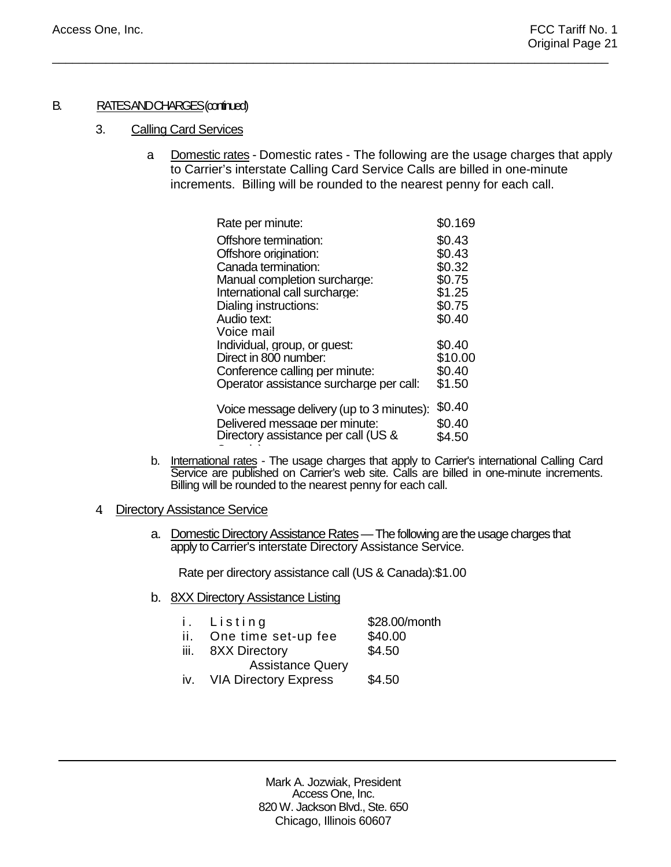# B. RATESANDCHARGES(continued)

### 3. Calling Card Services

a. Domestic rates - Domestic rates - The following are the usage charges that apply to Carrier's interstate Calling Card Service Calls are billed in one-minute increments. Billing will be rounded to the nearest penny for each call.

| Rate per minute:                          | \$0.169 |
|-------------------------------------------|---------|
| Offshore termination:                     | \$0.43  |
| Offshore origination:                     | \$0.43  |
| Canada termination:                       | \$0.32  |
| Manual completion surcharge:              | \$0.75  |
| International call surcharge:             | \$1.25  |
| Dialing instructions:                     | \$0.75  |
| Audio text:                               | \$0.40  |
| Voice mail                                |         |
| Individual, group, or quest:              | \$0.40  |
| Direct in 800 number:                     | \$10.00 |
| Conference calling per minute:            | \$0.40  |
| Operator assistance surcharge per call:   | \$1.50  |
| Voice message delivery (up to 3 minutes): | \$0.40  |
| Delivered message per minute:             | \$0.40  |
| Directory assistance per call (US &       | \$4.50  |

\_\_\_\_\_\_\_\_\_\_\_\_\_\_\_\_\_\_\_\_\_\_\_\_\_\_\_\_\_\_\_\_\_\_\_\_\_\_\_\_\_\_\_\_\_\_\_\_\_\_\_\_\_\_\_\_\_\_\_\_\_\_\_\_\_\_\_\_\_\_\_\_\_\_\_\_\_\_\_\_\_\_\_

C de la Cal b. International rates - The usage charges that apply to Carrier's international Calling Card Service are published on Carrier's web site. Calls are billed in one-minute increments. Billing will be rounded to the nearest penny for each call.

### 4. **Directory Assistance Service**

a. Domestic Directory Assistance Rates - The following are the usage charges that apply to Carrier's interstate Directory Assistance Service.

Rate per directory assistance call (US & Canada):\$1.00

b. 8XX Directory Assistance Listing

|      | i. Listing              | \$28.00/month |
|------|-------------------------|---------------|
| ii.  | One time set-up fee     | \$40.00       |
| iii. | 8XX Directory           | \$4.50        |
|      | <b>Assistance Query</b> |               |
|      | $\mathbf{u}$            |               |

iv. VIA Directory Express \$4.50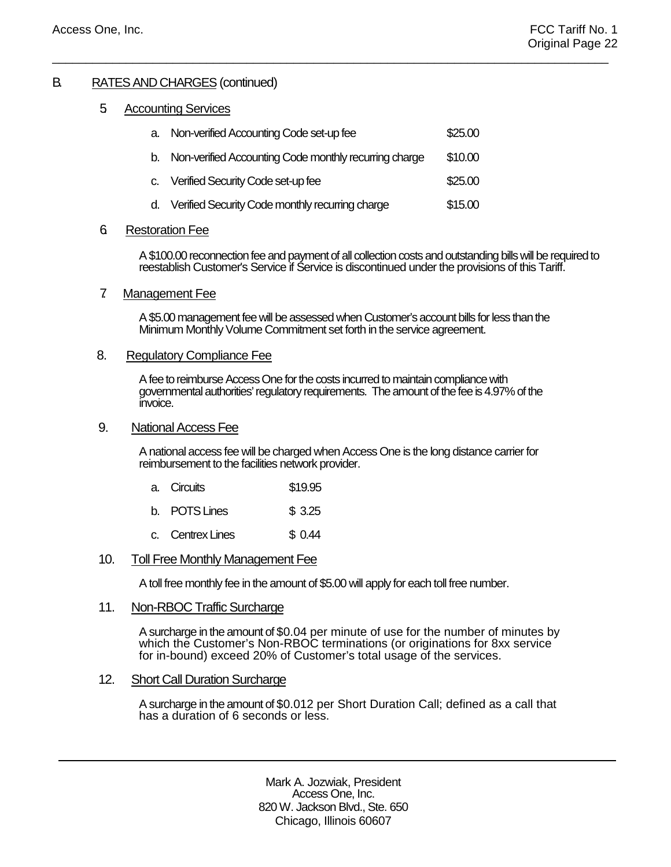# B. RATES AND CHARGES (continued)

### 5. Accounting Services

| a. | Non-verified Accounting Code set-up fee               | \$25.00 |
|----|-------------------------------------------------------|---------|
| b. | Non-verified Accounting Code monthly recurring charge | \$10.00 |
| C. | <b>Verified Security Code set-up fee</b>              | \$25.00 |
| d. | Verified Security Code monthly recurring charge       | \$15.00 |

\_\_\_\_\_\_\_\_\_\_\_\_\_\_\_\_\_\_\_\_\_\_\_\_\_\_\_\_\_\_\_\_\_\_\_\_\_\_\_\_\_\_\_\_\_\_\_\_\_\_\_\_\_\_\_\_\_\_\_\_\_\_\_\_\_\_\_\_\_\_\_\_\_\_\_\_\_\_\_\_\_\_\_

#### 6. Restoration Fee

A \$100.00 reconnection fee and payment of all collection costs and outstanding bills will be required to reestablish Customer's Service if Service is discontinued under the provisions of this Tariff.

7. Management Fee

> A \$5.00 management fee will be assessed when Customer's account bills for less than the Minimum Monthly Volume Commitment set forth in the service agreement.

#### 8. Regulatory Compliance Fee

A fee to reimburse Access One for the costs incurred to maintain compliance with governmental authorities' regulatory requirements. The amount of the fee is 4.97%of the invoice.

#### 9. National Access Fee

A national access fee will be charged when Access One is the long distance carrier for reimbursement to the facilities network provider.

| \$19.95 |
|---------|
|         |

- b. POTS Lines \$ 3.25
- c. Centrex Lines \$ 0.44
- 10. Toll Free Monthly Management Fee

A toll free monthly fee in the amount of \$5.00 will apply for each toll free number.

### 11. Non-RBOC Traffic Surcharge

A surcharge in the amount of \$0.04 per minute of use for the number of minutes by which the Customer's Non-RBOC terminations (or originations for 8xx service for in-bound) exceed 20% of Customer's total usage of the services.

### 12. Short Call Duration Surcharge

A surcharge in the amount of \$0.012 per Short Duration Call; defined as a call that has a duration of 6 seconds or less.